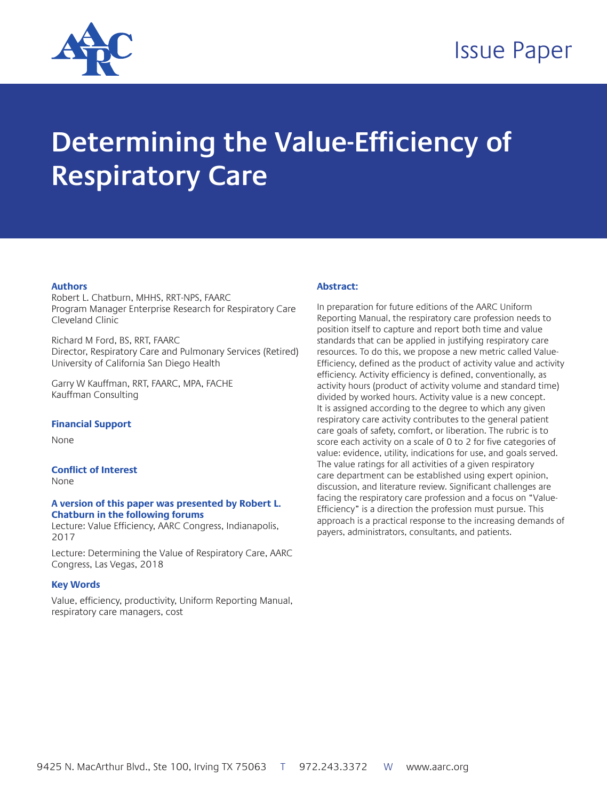

# Issue Paper

# **Determining the Value-Efficiency of Respiratory Care**

#### **Authors**

Robert L. Chatburn, MHHS, RRT-NPS, FAARC Program Manager Enterprise Research for Respiratory Care Cleveland Clinic

Richard M Ford, BS, RRT, FAARC Director, Respiratory Care and Pulmonary Services (Retired) University of California San Diego Health

Garry W Kauffman, RRT, FAARC, MPA, FACHE Kauffman Consulting

#### **Financial Support**

None

**Conflict of Interest**

None

#### **A version of this paper was presented by Robert L. Chatburn in the following forums**

Lecture: Value Efficiency, AARC Congress, Indianapolis, 2017

Lecture: Determining the Value of Respiratory Care, AARC Congress, Las Vegas, 2018

#### **Key Words**

Value, efficiency, productivity, Uniform Reporting Manual, respiratory care managers, cost

#### **Abstract:**

In preparation for future editions of the AARC Uniform Reporting Manual, the respiratory care profession needs to position itself to capture and report both time and value standards that can be applied in justifying respiratory care resources. To do this, we propose a new metric called Value-Efficiency, defined as the product of activity value and activity efficiency. Activity efficiency is defined, conventionally, as activity hours (product of activity volume and standard time) divided by worked hours. Activity value is a new concept. It is assigned according to the degree to which any given respiratory care activity contributes to the general patient care goals of safety, comfort, or liberation. The rubric is to score each activity on a scale of 0 to 2 for five categories of value: evidence, utility, indications for use, and goals served. The value ratings for all activities of a given respiratory care department can be established using expert opinion, discussion, and literature review. Significant challenges are facing the respiratory care profession and a focus on "Value-Efficiency" is a direction the profession must pursue. This approach is a practical response to the increasing demands of payers, administrators, consultants, and patients.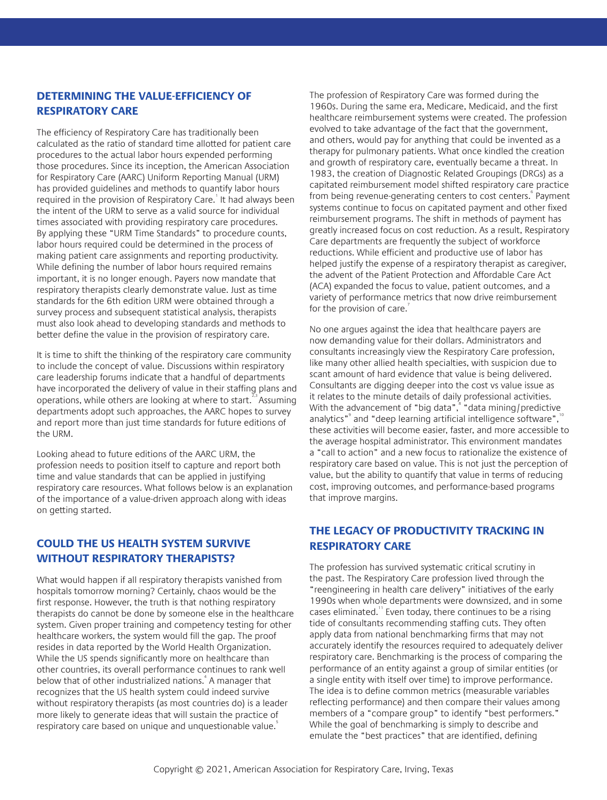# **DETERMINING THE VALUE-EFFICIENCY OF RESPIRATORY CARE**

The efficiency of Respiratory Care has traditionally been calculated as the ratio of standard time allotted for patient care procedures to the actual labor hours expended performing those procedures. Since its inception, the American Association for Respiratory Care (AARC) Uniform Reporting Manual (URM) has provided guidelines and methods to quantify labor hours required in the provision of Respiratory Care. It had always been the intent of the URM to serve as a valid source for individual times associated with providing respiratory care procedures. By applying these "URM Time Standards" to procedure counts, labor hours required could be determined in the process of making patient care assignments and reporting productivity. While defining the number of labor hours required remains important, it is no longer enough. Payers now mandate that respiratory therapists clearly demonstrate value. Just as time standards for the 6th edition URM were obtained through a survey process and subsequent statistical analysis, therapists must also look ahead to developing standards and methods to better define the value in the provision of respiratory care.

It is time to shift the thinking of the respiratory care community to include the concept of value. Discussions within respiratory care leadership forums indicate that a handful of departments have incorporated the delivery of value in their staffing plans and operations, while others are looking at where to start.<sup>2,3</sup> Assuming departments adopt such approaches, the AARC hopes to survey and report more than just time standards for future editions of the URM.

Looking ahead to future editions of the AARC URM, the profession needs to position itself to capture and report both time and value standards that can be applied in justifying respiratory care resources. What follows below is an explanation of the importance of a value-driven approach along with ideas on getting started.

# **COULD THE US HEALTH SYSTEM SURVIVE WITHOUT RESPIRATORY THERAPISTS?**

What would happen if all respiratory therapists vanished from hospitals tomorrow morning? Certainly, chaos would be the first response. However, the truth is that nothing respiratory therapists do cannot be done by someone else in the healthcare system. Given proper training and competency testing for other healthcare workers, the system would fill the gap. The proof resides in data reported by the World Health Organization. While the US spends significantly more on healthcare than other countries, its overall performance continues to rank well below that of other industrialized nations.<sup>4</sup> A manager that recognizes that the US health system could indeed survive without respiratory therapists (as most countries do) is a leader more likely to generate ideas that will sustain the practice of respiratory care based on unique and unquestionable value.

The profession of Respiratory Care was formed during the 1960s. During the same era, Medicare, Medicaid, and the first healthcare reimbursement systems were created. The profession evolved to take advantage of the fact that the government, and others, would pay for anything that could be invented as a therapy for pulmonary patients. What once kindled the creation and growth of respiratory care, eventually became a threat. In 1983, the creation of Diagnostic Related Groupings (DRGs) as a capitated reimbursement model shifted respiratory care practice from being revenue-generating centers to cost centers. Payment systems continue to focus on capitated payment and other fixed reimbursement programs. The shift in methods of payment has greatly increased focus on cost reduction. As a result, Respiratory Care departments are frequently the subject of workforce reductions. While efficient and productive use of labor has helped justify the expense of a respiratory therapist as caregiver, the advent of the Patient Protection and Affordable Care Act (ACA) expanded the focus to value, patient outcomes, and a variety of performance metrics that now drive reimbursement for the provision of care. $\overline{1}$ 

No one argues against the idea that healthcare payers are now demanding value for their dollars. Administrators and consultants increasingly view the Respiratory Care profession, like many other allied health specialties, with suspicion due to scant amount of hard evidence that value is being delivered. Consultants are digging deeper into the cost vs value issue as it relates to the minute details of daily professional activities. With the advancement of "big data", "data mining/predictive analytics"<sup>9</sup> and "deep learning artificial intelligence software",<sup>10</sup> these activities will become easier, faster, and more accessible to the average hospital administrator. This environment mandates a "call to action" and a new focus to rationalize the existence of respiratory care based on value. This is not just the perception of value, but the ability to quantify that value in terms of reducing cost, improving outcomes, and performance-based programs that improve margins.

# **THE LEGACY OF PRODUCTIVITY TRACKING IN RESPIRATORY CARE**

The profession has survived systematic critical scrutiny in the past. The Respiratory Care profession lived through the "reengineering in health care delivery" initiatives of the early 1990s when whole departments were downsized, and in some cases eliminated.<sup>11</sup> Even today, there continues to be a rising tide of consultants recommending staffing cuts. They often apply data from national benchmarking firms that may not accurately identify the resources required to adequately deliver respiratory care. Benchmarking is the process of comparing the performance of an entity against a group of similar entities (or a single entity with itself over time) to improve performance. The idea is to define common metrics (measurable variables reflecting performance) and then compare their values among members of a "compare group" to identify "best performers." While the goal of benchmarking is simply to describe and emulate the "best practices" that are identified, defining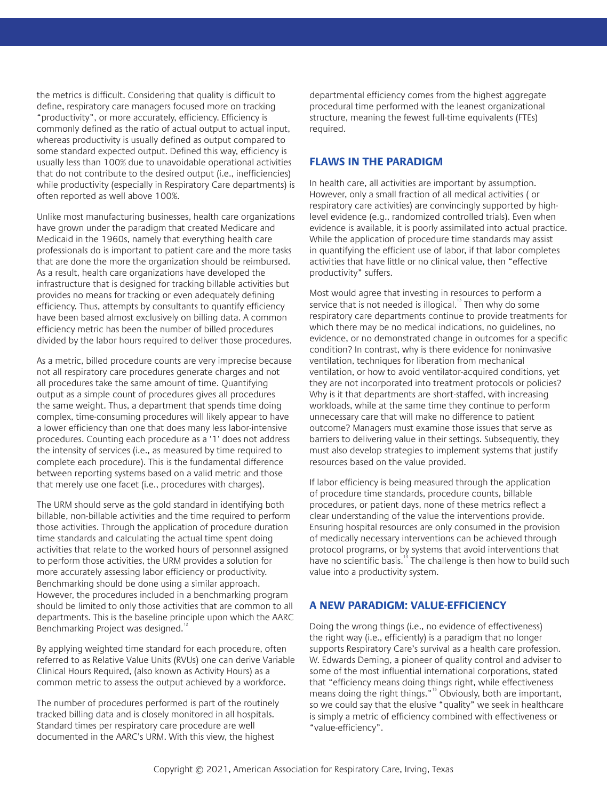the metrics is difficult. Considering that quality is difficult to define, respiratory care managers focused more on tracking "productivity", or more accurately, efficiency. Efficiency is commonly defined as the ratio of actual output to actual input, whereas productivity is usually defined as output compared to some standard expected output. Defined this way, efficiency is usually less than 100% due to unavoidable operational activities that do not contribute to the desired output (i.e., inefficiencies) while productivity (especially in Respiratory Care departments) is often reported as well above 100%.

Unlike most manufacturing businesses, health care organizations have grown under the paradigm that created Medicare and Medicaid in the 1960s, namely that everything health care professionals do is important to patient care and the more tasks that are done the more the organization should be reimbursed. As a result, health care organizations have developed the infrastructure that is designed for tracking billable activities but provides no means for tracking or even adequately defining efficiency. Thus, attempts by consultants to quantify efficiency have been based almost exclusively on billing data. A common efficiency metric has been the number of billed procedures divided by the labor hours required to deliver those procedures.

As a metric, billed procedure counts are very imprecise because not all respiratory care procedures generate charges and not all procedures take the same amount of time. Quantifying output as a simple count of procedures gives all procedures the same weight. Thus, a department that spends time doing complex, time-consuming procedures will likely appear to have a lower efficiency than one that does many less labor-intensive procedures. Counting each procedure as a '1' does not address the intensity of services (i.e., as measured by time required to complete each procedure). This is the fundamental difference between reporting systems based on a valid metric and those that merely use one facet (i.e., procedures with charges).

The URM should serve as the gold standard in identifying both billable, non-billable activities and the time required to perform those activities. Through the application of procedure duration time standards and calculating the actual time spent doing activities that relate to the worked hours of personnel assigned to perform those activities, the URM provides a solution for more accurately assessing labor efficiency or productivity. Benchmarking should be done using a similar approach. However, the procedures included in a benchmarking program should be limited to only those activities that are common to all departments. This is the baseline principle upon which the AARC Benchmarking Project was designed.<sup>1</sup>

By applying weighted time standard for each procedure, often referred to as Relative Value Units (RVUs) one can derive Variable Clinical Hours Required, (also known as Activity Hours) as a common metric to assess the output achieved by a workforce.

The number of procedures performed is part of the routinely tracked billing data and is closely monitored in all hospitals. Standard times per respiratory care procedure are well documented in the AARC's URM. With this view, the highest

departmental efficiency comes from the highest aggregate procedural time performed with the leanest organizational structure, meaning the fewest full-time equivalents (FTEs) required.

### **FLAWS IN THE PARADIGM**

In health care, all activities are important by assumption. However, only a small fraction of all medical activities ( or respiratory care activities) are convincingly supported by highlevel evidence (e.g., randomized controlled trials). Even when evidence is available, it is poorly assimilated into actual practice. While the application of procedure time standards may assist in quantifying the efficient use of labor, if that labor completes activities that have little or no clinical value, then "effective productivity" suffers.

Most would agree that investing in resources to perform a service that is not needed is illogical. $13$  Then why do some respiratory care departments continue to provide treatments for which there may be no medical indications, no guidelines, no evidence, or no demonstrated change in outcomes for a specific condition? In contrast, why is there evidence for noninvasive ventilation, techniques for liberation from mechanical ventilation, or how to avoid ventilator-acquired conditions, yet they are not incorporated into treatment protocols or policies? Why is it that departments are short-staffed, with increasing workloads, while at the same time they continue to perform unnecessary care that will make no difference to patient outcome? Managers must examine those issues that serve as barriers to delivering value in their settings. Subsequently, they must also develop strategies to implement systems that justify resources based on the value provided.

If labor efficiency is being measured through the application of procedure time standards, procedure counts, billable procedures, or patient days, none of these metrics reflect a clear understanding of the value the interventions provide. Ensuring hospital resources are only consumed in the provision of medically necessary interventions can be achieved through protocol programs, or by systems that avoid interventions that have no scientific basis.<sup>14</sup> The challenge is then how to build such value into a productivity system.

# **A NEW PARADIGM: VALUE-EFFICIENCY**

Doing the wrong things (i.e., no evidence of effectiveness) the right way (i.e., efficiently) is a paradigm that no longer supports Respiratory Care's survival as a health care profession. W. Edwards Deming, a pioneer of quality control and adviser to some of the most influential international corporations, stated that "efficiency means doing things right, while effectiveness means doing the right things."<sup>15</sup> Obviously, both are important, so we could say that the elusive "quality" we seek in healthcare is simply a metric of efficiency combined with effectiveness or "value-efficiency".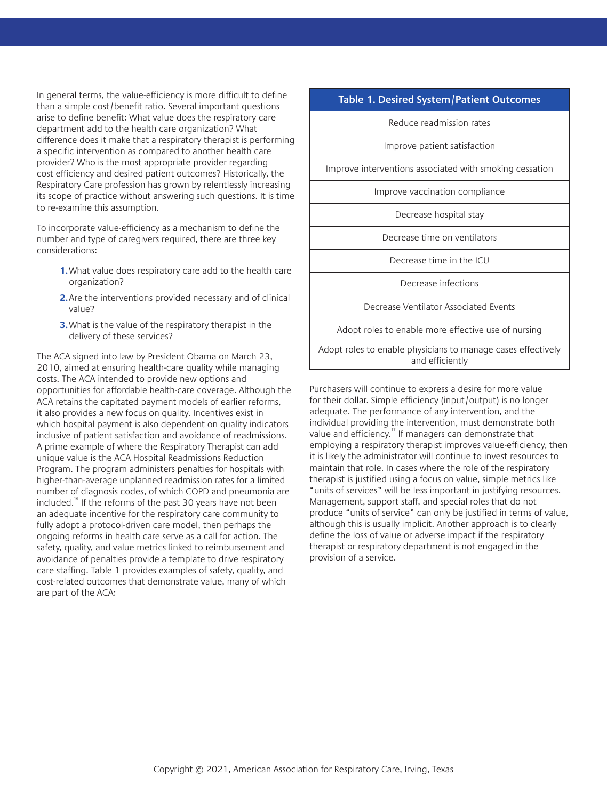In general terms, the value-efficiency is more difficult to define than a simple cost/benefit ratio. Several important questions arise to define benefit: What value does the respiratory care department add to the health care organization? What difference does it make that a respiratory therapist is performing a specific intervention as compared to another health care provider? Who is the most appropriate provider regarding cost efficiency and desired patient outcomes? Historically, the Respiratory Care profession has grown by relentlessly increasing its scope of practice without answering such questions. It is time to re-examine this assumption.

To incorporate value-efficiency as a mechanism to define the number and type of caregivers required, there are three key considerations:

- **1.**What value does respiratory care add to the health care organization?
- **2.**Are the interventions provided necessary and of clinical value?
- **3.**What is the value of the respiratory therapist in the delivery of these services?

The ACA signed into law by President Obama on March 23, 2010, aimed at ensuring health-care quality while managing costs. The ACA intended to provide new options and opportunities for affordable health-care coverage. Although the ACA retains the capitated payment models of earlier reforms, it also provides a new focus on quality. Incentives exist in which hospital payment is also dependent on quality indicators inclusive of patient satisfaction and avoidance of readmissions. A prime example of where the Respiratory Therapist can add unique value is the ACA Hospital Readmissions Reduction Program. The program administers penalties for hospitals with higher-than-average unplanned readmission rates for a limited number of diagnosis codes, of which COPD and pneumonia are included.<sup>16</sup> If the reforms of the past 30 years have not been an adequate incentive for the respiratory care community to fully adopt a protocol-driven care model, then perhaps the ongoing reforms in health care serve as a call for action. The safety, quality, and value metrics linked to reimbursement and avoidance of penalties provide a template to drive respiratory care staffing. Table 1 provides examples of safety, quality, and cost-related outcomes that demonstrate value, many of which are part of the ACA:

#### **Table 1. Desired System/Patient Outcomes**

Reduce readmission rates

Improve patient satisfaction

Improve interventions associated with smoking cessation

Improve vaccination compliance

Decrease hospital stay

Decrease time on ventilators

Decrease time in the ICU

Decrease infections

Decrease Ventilator Associated Events

Adopt roles to enable more effective use of nursing

Adopt roles to enable physicians to manage cases effectively and efficiently

Purchasers will continue to express a desire for more value for their dollar. Simple efficiency (input/output) is no longer adequate. The performance of any intervention, and the individual providing the intervention, must demonstrate both value and efficiency.<sup>17</sup> If managers can demonstrate that employing a respiratory therapist improves value-efficiency, then it is likely the administrator will continue to invest resources to maintain that role. In cases where the role of the respiratory therapist is justified using a focus on value, simple metrics like "units of services" will be less important in justifying resources. Management, support staff, and special roles that do not produce "units of service" can only be justified in terms of value, although this is usually implicit. Another approach is to clearly define the loss of value or adverse impact if the respiratory therapist or respiratory department is not engaged in the provision of a service.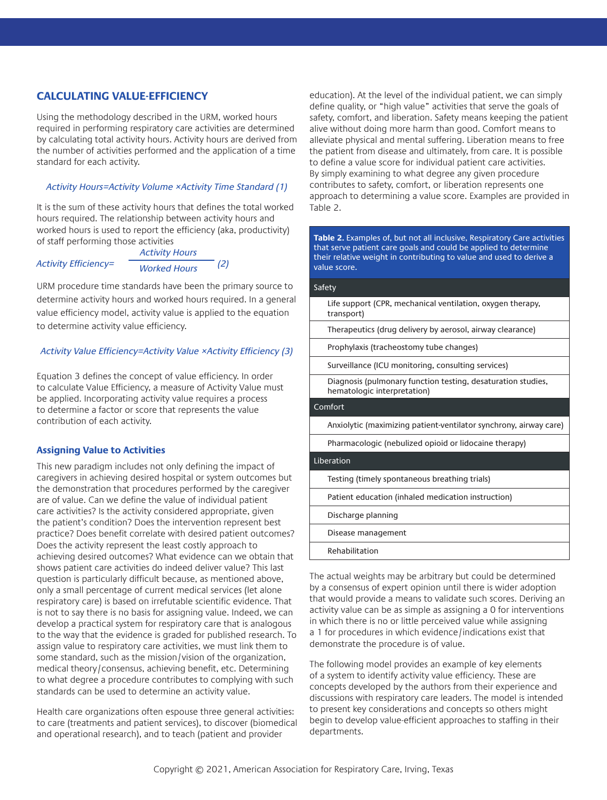# **CALCULATING VALUE-EFFICIENCY**

Using the methodology described in the URM, worked hours required in performing respiratory care activities are determined by calculating total activity hours. Activity hours are derived from the number of activities performed and the application of a time standard for each activity.

#### *Activity Hours=Activity Volume ×Activity Time Standard (1)*

It is the sum of these activity hours that defines the total worked hours required. The relationship between activity hours and worked hours is used to report the efficiency (aka, productivity) of staff performing those activities

| Activity Efficiency= | <b>Activity Hours</b> |     |
|----------------------|-----------------------|-----|
|                      | <b>Worked Hours</b>   | (2) |

URM procedure time standards have been the primary source to determine activity hours and worked hours required. In a general value efficiency model, activity value is applied to the equation to determine activity value efficiency.

#### Activity Value Efficiency=Activity Value ×Activity Efficiency (3)

Equation 3 defines the concept of value efficiency. In order to calculate Value Efficiency, a measure of Activity Value must be applied. Incorporating activity value requires a process to determine a factor or score that represents the value contribution of each activity.

#### **Assigning Value to Activities**

This new paradigm includes not only defining the impact of caregivers in achieving desired hospital or system outcomes but the demonstration that procedures performed by the caregiver are of value. Can we define the value of individual patient care activities? Is the activity considered appropriate, given the patient's condition? Does the intervention represent best practice? Does benefit correlate with desired patient outcomes? Does the activity represent the least costly approach to achieving desired outcomes? What evidence can we obtain that shows patient care activities do indeed deliver value? This last question is particularly difficult because, as mentioned above, only a small percentage of current medical services (let alone respiratory care) is based on irrefutable scientific evidence. That is not to say there is no basis for assigning value. Indeed, we can develop a practical system for respiratory care that is analogous to the way that the evidence is graded for published research. To assign value to respiratory care activities, we must link them to some standard, such as the mission/vision of the organization, medical theory/consensus, achieving benefit, etc. Determining to what degree a procedure contributes to complying with such standards can be used to determine an activity value.

Health care organizations often espouse three general activities: to care (treatments and patient services), to discover (biomedical and operational research), and to teach (patient and provider

education). At the level of the individual patient, we can simply define quality, or "high value" activities that serve the goals of safety, comfort, and liberation. Safety means keeping the patient alive without doing more harm than good. Comfort means to alleviate physical and mental suffering. Liberation means to free the patient from disease and ultimately, from care. It is possible to define a value score for individual patient care activities. By simply examining to what degree any given procedure contributes to safety, comfort, or liberation represents one approach to determining a value score. Examples are provided in Table 2.

**Table 2.** Examples of, but not all inclusive, Respiratory Care activities that serve patient care goals and could be applied to determine their relative weight in contributing to value and used to derive a value score.

#### Safety

Life support (CPR, mechanical ventilation, oxygen therapy, transport)

Therapeutics (drug delivery by aerosol, airway clearance)

Prophylaxis (tracheostomy tube changes)

Surveillance (ICU monitoring, consulting services)

Diagnosis (pulmonary function testing, desaturation studies, hematologic interpretation)

#### Comfort

Anxiolytic (maximizing patient-ventilator synchrony, airway care)

Pharmacologic (nebulized opioid or lidocaine therapy)

#### Liberation

Testing (timely spontaneous breathing trials)

Patient education (inhaled medication instruction)

Discharge planning

Disease management

Rehabilitation

The actual weights may be arbitrary but could be determined by a consensus of expert opinion until there is wider adoption that would provide a means to validate such scores. Deriving an activity value can be as simple as assigning a 0 for interventions in which there is no or little perceived value while assigning a 1 for procedures in which evidence/indications exist that demonstrate the procedure is of value.

The following model provides an example of key elements of a system to identify activity value efficiency. These are concepts developed by the authors from their experience and discussions with respiratory care leaders. The model is intended to present key considerations and concepts so others might begin to develop value-efficient approaches to staffing in their departments.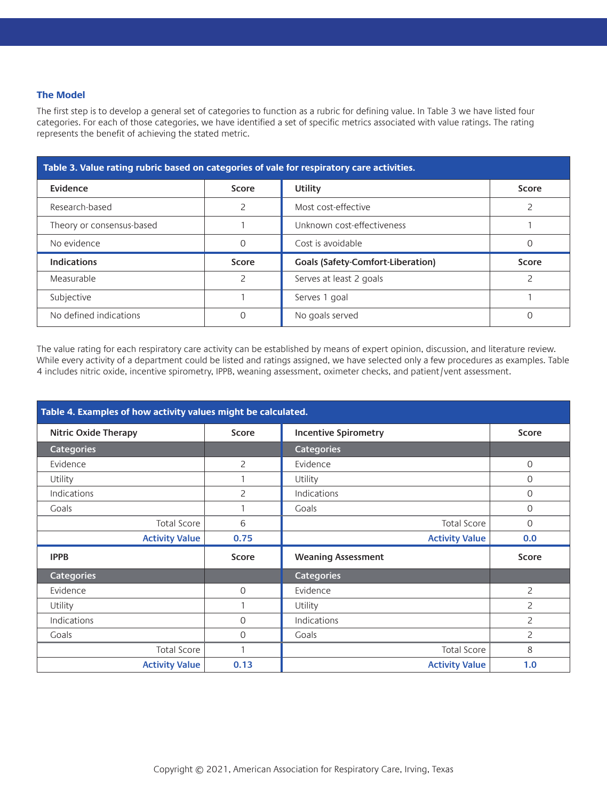#### **The Model**

The first step is to develop a general set of categories to function as a rubric for defining value. In Table 3 we have listed four categories. For each of those categories, we have identified a set of specific metrics associated with value ratings. The rating represents the benefit of achieving the stated metric.

| Table 3. Value rating rubric based on categories of vale for respiratory care activities. |          |                                          |       |  |
|-------------------------------------------------------------------------------------------|----------|------------------------------------------|-------|--|
| Evidence                                                                                  | Score    | Utility                                  | Score |  |
| Research-based                                                                            |          | Most cost-effective                      |       |  |
| Theory or consensus-based                                                                 |          | Unknown cost-effectiveness               |       |  |
| No evidence                                                                               | $\Omega$ | Cost is avoidable                        | Ω     |  |
| <b>Indications</b>                                                                        | Score    | <b>Goals (Safety-Comfort-Liberation)</b> | Score |  |
| Measurable                                                                                |          | Serves at least 2 goals                  |       |  |
| Subjective                                                                                |          | Serves 1 goal                            |       |  |
| No defined indications                                                                    |          | No goals served                          | C     |  |

The value rating for each respiratory care activity can be established by means of expert opinion, discussion, and literature review. While every activity of a department could be listed and ratings assigned, we have selected only a few procedures as examples. Table 4 includes nitric oxide, incentive spirometry, IPPB, weaning assessment, oximeter checks, and patient/vent assessment.

| Table 4. Examples of how activity values might be calculated. |                |                             |                |  |
|---------------------------------------------------------------|----------------|-----------------------------|----------------|--|
| <b>Nitric Oxide Therapy</b>                                   | Score          | <b>Incentive Spirometry</b> | Score          |  |
| <b>Categories</b>                                             |                | <b>Categories</b>           |                |  |
| Evidence                                                      | $\overline{2}$ | Evidence                    | 0              |  |
| Utility                                                       |                | Utility                     | 0              |  |
| Indications                                                   | 2              | Indications                 | 0              |  |
| Goals                                                         |                | Goals                       | 0              |  |
| <b>Total Score</b>                                            | 6              | <b>Total Score</b>          | 0              |  |
| <b>Activity Value</b>                                         | 0.75           | <b>Activity Value</b>       | 0.0            |  |
| <b>IPPB</b>                                                   | Score          | <b>Weaning Assessment</b>   | Score          |  |
| <b>Categories</b>                                             |                | <b>Categories</b>           |                |  |
| Evidence                                                      | $\mathbf{O}$   | Evidence                    | $\overline{c}$ |  |
| Utility                                                       | 1              | Utility                     | 2              |  |
| Indications                                                   | $\Omega$       | Indications                 | $\overline{c}$ |  |
| Goals                                                         | $\mathbf{O}$   | Goals                       | 2              |  |
| Total Score                                                   | 1              | <b>Total Score</b>          | 8              |  |
| <b>Activity Value</b>                                         | 0.13           | <b>Activity Value</b>       | 1.0            |  |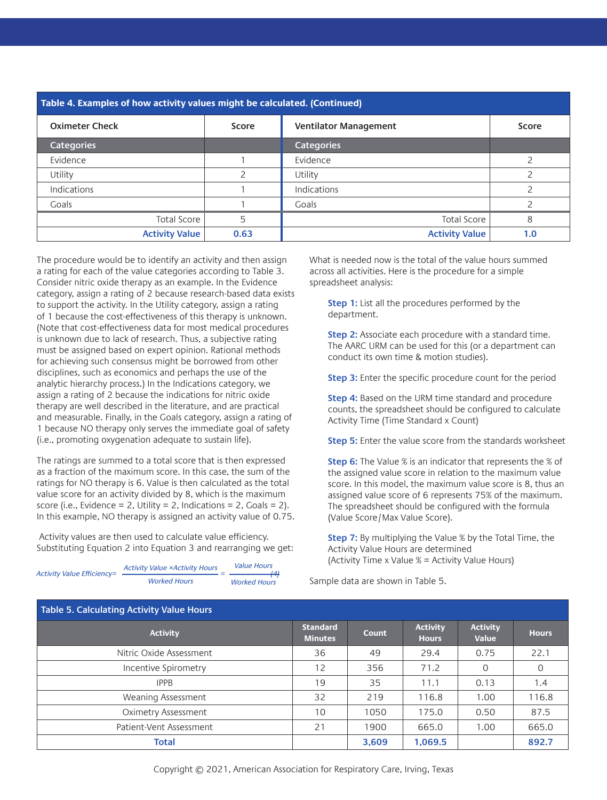| Table 4. Examples of how activity values might be calculated. (Continued) |              |                              |              |  |
|---------------------------------------------------------------------------|--------------|------------------------------|--------------|--|
| <b>Oximeter Check</b>                                                     | <b>Score</b> | <b>Ventilator Management</b> | <b>Score</b> |  |
| <b>Categories</b>                                                         |              | <b>Categories</b>            |              |  |
| Evidence                                                                  |              | Evidence                     |              |  |
| Utility                                                                   |              | Utility                      |              |  |
| Indications                                                               |              | Indications                  |              |  |
| Goals                                                                     |              | Goals                        |              |  |
| <b>Total Score</b>                                                        | 5            | <b>Total Score</b>           | 8            |  |
| <b>Activity Value</b>                                                     | 0.63         | <b>Activity Value</b>        | 1.0          |  |

The procedure would be to identify an activity and then assign a rating for each of the value categories according to Table 3. Consider nitric oxide therapy as an example. In the Evidence category, assign a rating of 2 because research-based data exists to support the activity. In the Utility category, assign a rating of 1 because the cost-effectiveness of this therapy is unknown. (Note that cost-effectiveness data for most medical procedures is unknown due to lack of research. Thus, a subjective rating must be assigned based on expert opinion. Rational methods for achieving such consensus might be borrowed from other disciplines, such as economics and perhaps the use of the analytic hierarchy process.) In the Indications category, we assign a rating of 2 because the indications for nitric oxide therapy are well described in the literature, and are practical and measurable. Finally, in the Goals category, assign a rating of 1 because NO therapy only serves the immediate goal of safety (i.e., promoting oxygenation adequate to sustain life).

The ratings are summed to a total score that is then expressed as a fraction of the maximum score. In this case, the sum of the ratings for NO therapy is 6. Value is then calculated as the total value score for an activity divided by 8, which is the maximum score (i.e., Evidence = 2, Utility = 2, Indications = 2, Goals = 2). In this example, NO therapy is assigned an activity value of 0.75.

 Activity values are then used to calculate value efficiency. Substituting Equation 2 into Equation 3 and rearranging we get:

| <b>Activity Value Efficiency=</b> | <b>Activity Value ×Activity Hours</b> | <b>Value Hours</b><br>-41 |  |
|-----------------------------------|---------------------------------------|---------------------------|--|
|                                   | <b>Worked Hours</b>                   | <b>Worked Hours</b>       |  |

What is needed now is the total of the value hours summed across all activities. Here is the procedure for a simple spreadsheet analysis:

**Step 1:** List all the procedures performed by the department.

**Step 2:** Associate each procedure with a standard time. The AARC URM can be used for this (or a department can conduct its own time & motion studies).

**Step 3:** Enter the specific procedure count for the period

**Step 4:** Based on the URM time standard and procedure counts, the spreadsheet should be configured to calculate Activity Time (Time Standard x Count)

**Step 5:** Enter the value score from the standards worksheet

**Step 6:** The Value % is an indicator that represents the % of the assigned value score in relation to the maximum value score. In this model, the maximum value score is 8, thus an assigned value score of 6 represents 75% of the maximum. The spreadsheet should be configured with the formula (Value Score/Max Value Score).

**Step 7:** By multiplying the Value % by the Total Time, the Activity Value Hours are determined (Activity Time x Value  $\%$  = Activity Value Hours)

Sample data are shown in Table 5.

| Table 5. Calculating Activity Value Hours |                                   |       |                                 |                          |              |
|-------------------------------------------|-----------------------------------|-------|---------------------------------|--------------------------|--------------|
| <b>Activity</b>                           | <b>Standard</b><br><b>Minutes</b> | Count | <b>Activity</b><br><b>Hours</b> | <b>Activity</b><br>Value | <b>Hours</b> |
| Nitric Oxide Assessment                   | 36                                | 49    | 29.4                            | 0.75                     | 22.1         |
| Incentive Spirometry                      | 12                                | 356   | 71.2                            | 0                        |              |
| <b>IPPB</b>                               | 19                                | 35    | 11.1                            | 0.13                     | 1.4          |
| Weaning Assessment                        | 32                                | 219   | 116.8                           | 1.00                     | 116.8        |
| <b>Oximetry Assessment</b>                | 10                                | 1050  | 175.0                           | 0.50                     | 87.5         |
| Patient-Vent Assessment                   | 21                                | 1900  | 665.0                           | 1.00                     | 665.0        |
| Total                                     |                                   | 3,609 | 1,069.5                         |                          | 892.7        |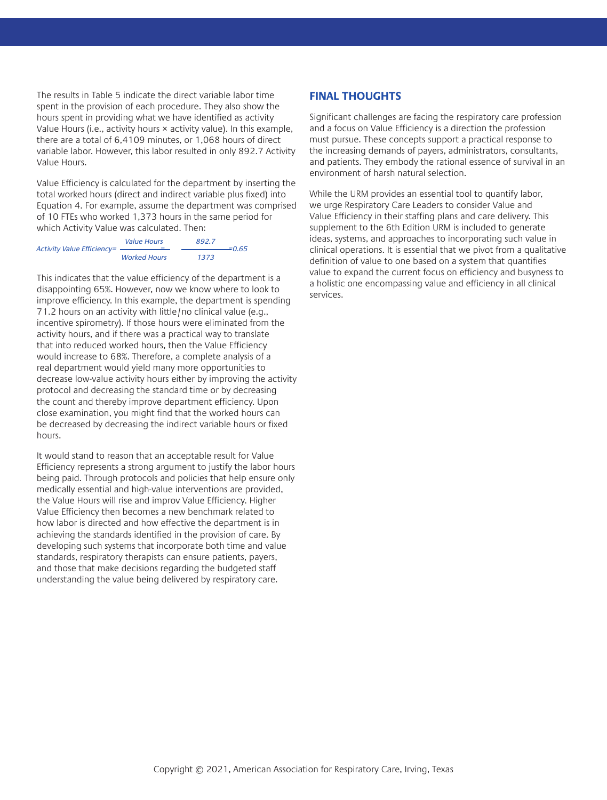The results in Table 5 indicate the direct variable labor time spent in the provision of each procedure. They also show the hours spent in providing what we have identified as activity Value Hours (i.e., activity hours × activity value). In this example, there are a total of 6,4109 minutes, or 1,068 hours of direct variable labor. However, this labor resulted in only 892.7 Activity Value Hours.

Value Efficiency is calculated for the department by inserting the total worked hours (direct and indirect variable plus fixed) into Equation 4. For example, assume the department was comprised of 10 FTEs who worked 1,373 hours in the same period for which Activity Value was calculated. Then:

| <b>Activity Value Efficiency=</b> | <b>Value Hours</b>  | 892.7 | $= 0.65$ |
|-----------------------------------|---------------------|-------|----------|
|                                   | <b>Worked Hours</b> | 1373  |          |

This indicates that the value efficiency of the department is a disappointing 65%. However, now we know where to look to improve efficiency. In this example, the department is spending 71.2 hours on an activity with little/no clinical value (e.g., incentive spirometry). If those hours were eliminated from the activity hours, and if there was a practical way to translate that into reduced worked hours, then the Value Efficiency would increase to 68%. Therefore, a complete analysis of a real department would yield many more opportunities to decrease low-value activity hours either by improving the activity protocol and decreasing the standard time or by decreasing the count and thereby improve department efficiency. Upon close examination, you might find that the worked hours can be decreased by decreasing the indirect variable hours or fixed hours.

It would stand to reason that an acceptable result for Value Efficiency represents a strong argument to justify the labor hours being paid. Through protocols and policies that help ensure only medically essential and high-value interventions are provided, the Value Hours will rise and improv Value Efficiency. Higher Value Efficiency then becomes a new benchmark related to how labor is directed and how effective the department is in achieving the standards identified in the provision of care. By developing such systems that incorporate both time and value standards, respiratory therapists can ensure patients, payers, and those that make decisions regarding the budgeted staff understanding the value being delivered by respiratory care.

## **FINAL THOUGHTS**

Significant challenges are facing the respiratory care profession and a focus on Value Efficiency is a direction the profession must pursue. These concepts support a practical response to the increasing demands of payers, administrators, consultants, and patients. They embody the rational essence of survival in an environment of harsh natural selection.

While the URM provides an essential tool to quantify labor, we urge Respiratory Care Leaders to consider Value and Value Efficiency in their staffing plans and care delivery. This supplement to the 6th Edition URM is included to generate ideas, systems, and approaches to incorporating such value in clinical operations. It is essential that we pivot from a qualitative definition of value to one based on a system that quantifies value to expand the current focus on efficiency and busyness to a holistic one encompassing value and efficiency in all clinical services.